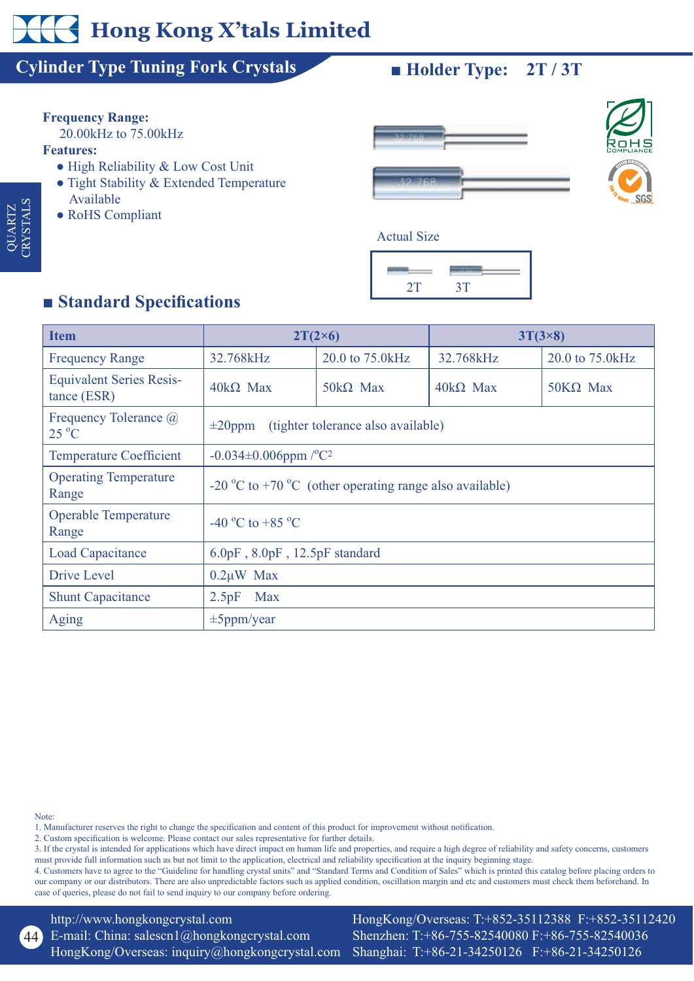# **Hong Kong X'tals Limited**

### **Cylinder Type Tuning Fork Crystals -**

# **Frequency Range:**

20.00kHz to 75.00kHz

### **Features:**

 QUARTZ CRYSTALS

QUARTZ<br>CRYSTALS

- High Reliability & Low Cost Unit
- Tight Stability & Extended Temperature Available
- RoHS Compliant

### $\blacksquare$  **Holder Type:**  $2T / 3T$





## **Example 3** Standard Specifications

| <b>Item</b>                                    | $2T(2\times6)$                                                              |                 | $3T(3\times8)$  |                  |
|------------------------------------------------|-----------------------------------------------------------------------------|-----------------|-----------------|------------------|
| <b>Frequency Range</b>                         | 32.768kHz                                                                   | 20.0 to 75.0kHz | 32.768kHz       | 20.0 to 75.0 kHz |
| <b>Equivalent Series Resis-</b><br>tance (ESR) | $40k\Omega$ Max                                                             | $50k\Omega$ Max | $40k\Omega$ Max | $50K\Omega$ Max  |
| Frequency Tolerance @<br>$25\text{ °C}$        | (tighter tolerance also available)<br>$\pm 20$ ppm                          |                 |                 |                  |
| <b>Temperature Coefficient</b>                 | $-0.034 \pm 0.006$ ppm $\sqrt{C^2}$                                         |                 |                 |                  |
| <b>Operating Temperature</b><br>Range          | -20 $^{\circ}$ C to +70 $^{\circ}$ C (other operating range also available) |                 |                 |                  |
| <b>Operable Temperature</b><br>Range           | -40 °C to +85 °C                                                            |                 |                 |                  |
| Load Capacitance                               | $6.0pF$ , $8.0pF$ , $12.5pF$ standard                                       |                 |                 |                  |
| Drive Level                                    | $0.2\mu W$ Max                                                              |                 |                 |                  |
| <b>Shunt Capacitance</b>                       | 2.5pF<br><b>Max</b>                                                         |                 |                 |                  |
| Aging                                          | $\pm$ 5ppm/year                                                             |                 |                 |                  |

Note:

 $(44)$ 

1. Manufacturer reserves the right to change the specification and content of this product for improvement without notification.

2. Custom specification is welcome. Please contact our sales representative for further details.

3. If the crystal is intended for applications which have direct impact on human life and properties, and require a high degree of reliability and safety concerns, customers must provide full information such as but not limit to the application, electrical and reliability specification at the inquiry beginning stage.

4. Customers have to agree to the "Guideline for handling crystal units" and "Standard Terms and Condition of Sales" which is printed this catalog before placing orders to our company or our distributors. There are also unpredictable factors such as applied condition, oscillation margin and etc and customers must check them beforehand. In case of queries, please do not fail to send inquiry to our company before ordering.

http://www.hongkongcrystal.com E-mail: China: salescn1@hongkongcrystal.com HongKong/Overseas: inquiry@hongkongcrystal.com

HongKong/Overseas: T:+852-35112388 F:+852-35112420 Shenzhen: T:+86-755-82540080 F:+86-755-82540036 Shanghai: T:+86-21-34250126 F:+86-21-34250126